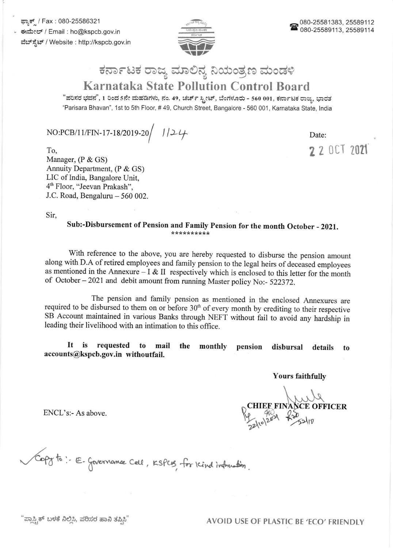ಫ್ಲಾಕ್ಸ್ / Fax : 080-25586321 ಕಃಮೇಲ್ / Email : ho@kspcb.gov.in ವೆಬ್ ಸ್ಟೆಟ್ / Website : http://kspcb.gov.in



## ಕರ್ನಾಟಕ ರಾಜ್ಯ ಮಾಲಿನ್ಯ ನಿಯಂತ್ರಣ ಮಂಡಳಿ Karnataka State Pollution Control Board

"ಪರಿಸರ ಭವನ", 1 ರಿಂದ 5ನೇ ಮಹಡಿಗಳು, ನಂ. 49, ಚರ್ಚ್ ಸ್ಟೀಟ್, ಬೆಂಗಳೂರು - 560 001, ಕರ್ನಾಟಕ ರಾಜ್ಯ, ಭಾರತ "Parisara Bhavan', 1st to sth Floor, # 49, Church Street, Bangalore - 560 001, Karnataka State, lndia

 $NO:PCB/11/FIN-17-18/2019-20/$  //24

Date:

z 2 0c1 <sup>2021</sup>

To, Manager, (P & GS) Annuity Department, (P & GS) LIC of India, Bangalore Unit, 4'h Floor, "Jeevan Prakash", J.C. Road, Bengaluru  $-560002$ .

Sir,

## Sub:-Disbursement of Pension and Family Pension for the month October - 2021.

with reference to the above, you are hereby requested to disburse the pension amount along with D.A of retired employees and family pension to the legal heirs of deceased employees as mentioned in the Annexure - I & II respectively which is enclosed to this letter for the month of October - 2021 and debit amount from running Master policy No:- 522372.

The pension and family pension as mentioned in the enclosed Annexures are required to be disbursed to them on or before 30<sup>th</sup> of every month by crediting to their respective SB Account maintained in various Banks through NEFT without fail to avoid any hardship in leading their livelihood with an intimation to this office.

It is requested to mail the monthly accounts@kspcb,gov.in withoutfail. pension disbursal details to

Yours faithfully

OFFICER o

ENCL's:- As above.

to:- E- Governance Cell, KSPC13, for Kind information